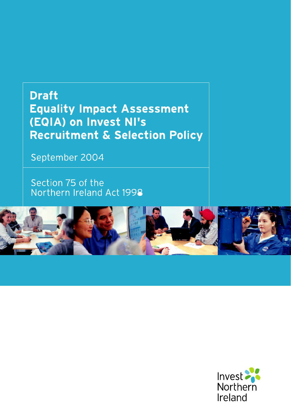# **Draft** Equality Impact Assessment (EQIA) on Invest NI's Recruitment & Selection Policy

September 2004

Section 75 of the Northern Ireland Act 1998



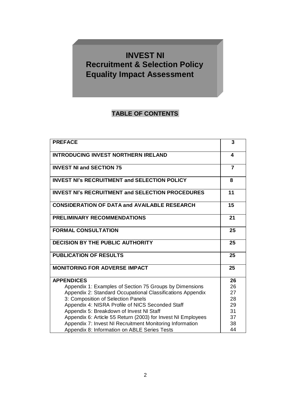## **INVEST NI Recruitment & Selection Policy Equality Impact Assessment**

## **TABLE OF CONTENTS**

| <b>PREFACE</b>                                               | 3              |
|--------------------------------------------------------------|----------------|
| <b>INTRODUCING INVEST NORTHERN IRELAND</b>                   | 4              |
| <b>INVEST NI and SECTION 75</b>                              | $\overline{7}$ |
| <b>INVEST NI's RECRUITMENT and SELECTION POLICY</b>          | 8              |
| <b>INVEST NI's RECRUITMENT and SELECTION PROCEDURES</b>      | 11             |
| <b>CONSIDERATION OF DATA and AVAILABLE RESEARCH</b>          | 15             |
| <b>PRELIMINARY RECOMMENDATIONS</b>                           | 21             |
| <b>FORMAL CONSULTATION</b>                                   | 25             |
| <b>DECISION BY THE PUBLIC AUTHORITY</b>                      | 25             |
| <b>PUBLICATION OF RESULTS</b>                                | 25             |
| <b>MONITORING FOR ADVERSE IMPACT</b>                         | 25             |
| <b>APPENDICES</b>                                            | 26             |
| Appendix 1: Examples of Section 75 Groups by Dimensions      | 26             |
| Appendix 2: Standard Occupational Classifications Appendix   | 27             |
| 3: Composition of Selection Panels                           | 28             |
| Appendix 4: NISRA Profile of NICS Seconded Staff             | 29             |
| Appendix 5: Breakdown of Invest NI Staff                     | 31             |
| Appendix 6: Article 55 Return (2003) for Invest NI Employees | 37             |
| Appendix 7: Invest NI Recruitment Monitoring Information     | 38             |
| Appendix 8: Information on ABLE Series Tests                 | 44             |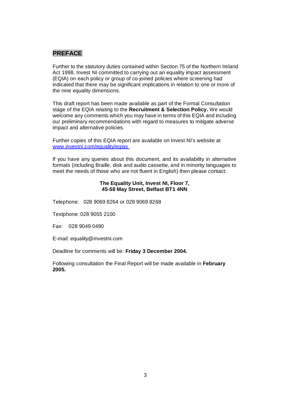### **PREFACE**

Further to the statutory duties contained within Section 75 of the Northern Ireland Act 1998, Invest NI committed to carrying out an equality impact assessment (EQIA) on each policy or group of co-joined policies where screening had indicated that there may be significant implications in relation to one or more of the nine equality dimensions.

This draft report has been made available as part of the Formal Consultation stage of the EQIA relating to the **Recruitment & Selection Policy.** We would welcome any comments which you may have in terms of this EQIA and including our preliminary recommendations with regard to measures to mitigate adverse impact and alternative policies.

Further copies of this EQIA report are available on Invest NI's website at [www.investni.com/equality/eqias](http://www.investni.com/equality/eqias)

If you have any queries about this document, and its availability in alternative formats (including Braille, disk and audio cassette, and in minority languages to meet the needs of those who are not fluent in English) then please contact:

### **The Equality Unit, Invest NI, Floor 7, 45-58 May Street, Belfast BT1 4NN**

Telephone: 028 9069 8264 or 028 9069 8268

Textphone: 028 9055 2100

Fax: 028 9049 0490

E-mail: [equality@investni.com](mailto:equality@investni.com)

Deadline for comments will be: **Friday 3 December 2004.**

Following consultation the Final Report will be made available in **February 2005.**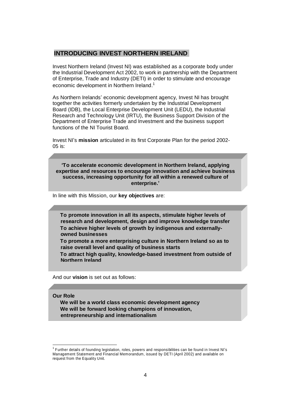### **INTRODUCING INVEST NORTHERN IRELAND**

Invest Northern Ireland (Invest NI) was established as a corporate body under the Industrial Development Act 2002, to work in partnership with the Department of Enterprise, Trade and Industry (DETI) in order to stimulate and encourage economic development in Northern Ireland.<sup>1</sup>

As Northern Irelands' economic development agency, Invest NI has brought together the activities formerly undertaken by the Industrial Development Board (IDB), the Local Enterprise Development Unit (LEDU), the Industrial Research and Technology Unit (IRTU), the Business Support Division of the Department of Enterprise Trade and Investment and the business support functions of the NI Tourist Board.

Invest NI's **mission** articulated in its first Corporate Plan for the period 2002-05 is:

**µTo accelerate economic development in Northern Ireland, applying expertise and resources to encourage innovation and achieve business success, increasing opportunity for all within a renewed culture of enterprise.¶**

In line with this Mission, our **key objectives** are:

**To promote innovation in all its aspects, stimulate higher levels of research and development, design and improve knowledge transfer To achieve higher levels of growth by indigenous and externallyowned businesses**

**To promote a more enterprising culture in Northern Ireland so as to raise overall level and quality of business starts**

**To attract high quality, knowledge-based investment from outside of Northern Ireland**

And our **vision** is set out as follows:

#### **Our Role**

**We will be a world class economic development agency We will be forward looking champions of innovation, entrepreneurship and internationalism**

<sup>&</sup>lt;sup>1</sup> Further details of founding legislation, roles, powers and responsibilities can be found in Invest NI's Management Statement and Financial Memorandum, issued by DETI (April 2002) and available on request from the Equality Unit.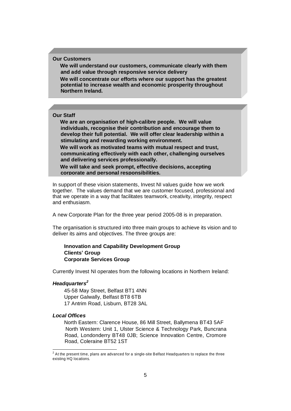#### **Our Customers**

**We will understand our customers, communicate clearly with them and add value through responsive service delivery**

**We will concentrate our efforts where our support has the greatest potential to increase wealth and economic prosperity throughout Northern Ireland.**

#### **Our Staff**

**We are an organisation of high-calibre people. We will value individuals, recognise their contribution and encourage them to develop their full potential. We will offer clear leadership within a stimulating and rewarding working environment.**

**We will work as motivated teams with mutual respect and trust, communicating effectively with each other, challenging ourselves and delivering services professionally.**

**We will take and seek prompt, effective decisions, accepting corporate and personal responsibilities.**

In support of these vision statements, Invest NI values guide how we work together. The values demand that we are customer focused, professional and that we operate in a way that facilitates teamwork, creativity, integrity, respect and enthusiasm.

A new Corporate Plan for the three year period 2005-08 is in preparation.

The organisation is structured into three main groups to achieve its vision and to deliver its aims and objectives. The three groups are:

### **Innovation and Capability Development Group Clients¶ Group Corporate Services Group**

Currently Invest NI operates from the following locations in Northern Ireland:

#### *Headquarters<sup>2</sup>*

45-58 May Street, Belfast BT1 4NN Upper Galwally, Belfast BT8 6TB 17 Antrim Road, Lisburn, BT28 3AL

#### *Local Offices*

North Eastern: Clarence House, 86 Mill Street, Ballymena BT43 5AF North Western: Unit 1, Ulster Science & Technology Park, Buncrana Road, Londonderry BT48 0JB; Science Innovation Centre, Cromore Road, Coleraine BT52 1ST

 $^2$  At the present time, plans are advanced for a single-site Belfast Headquarters to replace the three existing HQ locations.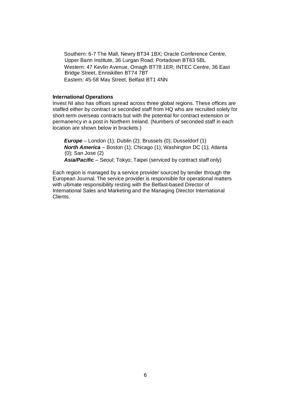Southern: 6-7 The Mall, Newry BT34 1BX; Oracle Conference Centre, Upper Bann Institute, 36 Lurgan Road, Portadown BT63 5BL Western: 47 Kevlin Avenue, Omagh BT78 1ER; INTEC Centre, 36 East Bridge Street, Enniskillen BT74 7BT Eastern: 45-58 May Street, Belfast BT1 4NN

#### **International Operations**

Invest NI also has offices spread across three global regions. These offices are staffed either by contract or seconded staff from HQ who are recruited solely for short-term overseas contracts but with the potential for contract extension or permanency in a post in Northern Ireland. (Numbers of seconded staff in each location are shown below in brackets.)

**Europe** – London (1); Dublin (2); Brussels (0); Dusseldorf (1) *North America* - Boston (1); Chicago (1); Washington DC (1); Atlanta (0); San Jose (2) **Asia/Pacific** – Seoul; Tokyo; Taipei (serviced by contract staff only)

Each region is managed by a service provider sourced by tender through the European Journal. The service provider is responsible for operational matters with ultimate responsibility resting with the Belfast-based Director of International Sales and Marketing and the Managing Director International Clients.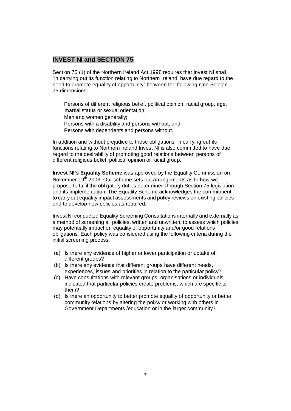### **INVEST NI and SECTION 75**

Section 75 (1) of the Northern Ireland Act 1998 requires that Invest NI shall, ³in carrying out its function relating to Northern Ireland, have due regard to the need to promote equality of opportunity´ between the following nine Section 75 dimensions:

Persons of different religious belief, political opinion, racial group, age, martial status or sexual orientation;

- Men and women generally;
- Persons with a disability and persons without; and
- Persons with dependents and persons without.

In addition and without prejudice to these obligations, in carrying out its functions relating to Northern Ireland Invest NI is also committed to have due regard to the desirability of promoting good relations between persons of different religious belief, political opinion or racial group.

**Invest NI's Equality Scheme** was approved by the Equality Commission on November 19<sup>th</sup> 2003. Our scheme sets out arrangements as to how we propose to fulfil the obligatory duties determined through Section 75 legislation and its implementation. The Equality Scheme acknowledges the commitment to carry out equality impact assessments and policy reviews on existing policies and to develop new policies as required.

Invest NI conducted Equality Screening Consultations internally and externally as a method of screening all policies, written and unwritten, to assess which policies may potentially impact on equality of opportunity and/or good relations obligations. Each policy was considered using the following criteria during the initial screening process:

- (a) Is there any evidence of higher or lower participation or uptake of different groups?
- (b) Is there any evidence that different groups have different needs, experiences, issues and priorities in relation to the particular policy?
- (c) Have consultations with relevant groups, organisations or individuals indicated that particular policies create problems, which are specific to them?
- (d) Is there an opportunity to better promote equality of opportunity or better community relations by altering the policy or working with others in Government Departments /education or in the larger community?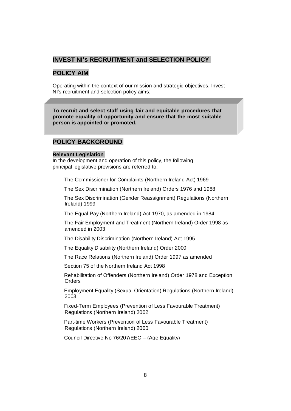### **INVEST NI's RECRUITMENT and SELECTION POLICY**

### **POLICY AIM**

Operating within the context of our mission and strategic objectives, Invest NI's recruitment and selection policy aims:

**To recruit and select staff using fair and equitable procedures that promote equality of opportunity and ensure that the most suitable person is appointed or promoted.**

### **POLICY BACKGROUND**

### **Relevant Legislation**

In the development and operation of this policy, the following principal legislative provisions are referred to:

The Commissioner for Complaints (Northern Ireland Act) 1969

The Sex Discrimination (Northern Ireland) Orders 1976 and 1988

The Sex Discrimination (Gender Reassignment) Regulations (Northern Ireland) 1999

The Equal Pay (Northern Ireland) Act 1970, as amended in 1984

The Fair Employment and Treatment (Northern Ireland) Order 1998 as amended in 2003

The Disability Discrimination (Northern Ireland) Act 1995

The Equality Disability (Northern Ireland) Order 2000

The Race Relations (Northern Ireland) Order 1997 as amended

Section 75 of the Northern Ireland Act 1998

Rehabilitation of Offenders (Northern Ireland) Order 1978 and Exception Orders

Employment Equality (Sexual Orientation) Regulations (Northern Ireland) 2003

Fixed-Term Employees (Prevention of Less Favourable Treatment) Regulations (Northern Ireland) 2002

Part-time Workers (Prevention of Less Favourable Treatment) Regulations (Northern Ireland) 2000

Council Directive No 76/207/EEC - (Age Equality)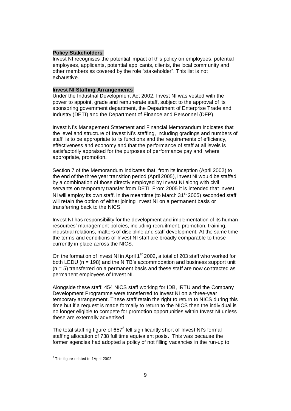#### **Policy Stakeholders**

Invest NI recognises the potential impact of this policy on employees, potential employees, applicants, potential applicants, clients, the local community and other members as covered by the role "stakeholder". This list is not exhaustive.

### **Invest NI Staffing Arrangements**

Under the Industrial Development Act 2002, Invest NI was vested with the power to appoint, grade and remunerate staff, subject to the approval of its sponsoring government department, the Department of Enterprise Trade and Industry (DETI) and the Department of Finance and Personnel (DFP).

Invest NI's Management Statement and Financial Memorandum indicates that the level and structure of Invest NI's staffing, including gradings and numbers of staff, is to be appropriate to its functions and the requirements of efficiency, effectiveness and economy and that the performance of staff at all levels is satisfactorily appraised for the purposes of performance pay and, where appropriate, promotion.

Section 7 of the Memorandum indicates that, from its inception (April 2002) to the end of the three year transition period (April 2005), Invest NI would be staffed by a combination of those directly employed by Invest NI along with civil servants on temporary transfer from DETI. From 2005 it is intended that Invest NI will employ its own staff. In the meantime (to March  $31<sup>st</sup> 2005$ ) seconded staff will retain the option of either joining Invest NI on a permanent basis or transferring back to the NICS.

Invest NI has responsibility for the development and implementation of its human resources' management policies, including recruitment, promotion, training, industrial relations, matters of discipline and staff development. At the same time the terms and conditions of Invest NI staff are broadly comparable to those currently in place across the NICS.

On the formation of Invest NI in April 1<sup>st</sup> 2002, a total of 203 staff who worked for both LEDU ( $n = 198$ ) and the NITB's accommodation and business support unit  $(n = 5)$  transferred on a permanent basis and these staff are now contracted as permanent employees of Invest NI.

Alongside these staff, 454 NICS staff working for IDB, IRTU and the Company Development Programme were transferred to Invest NI on a three-year temporary arrangement. These staff retain the right to return to NICS during this time but if a request is made formally to return to the NICS then the individual is no longer eligible to compete for promotion opportunities within Invest NI unless these are externally advertised.

The total staffing figure of 657 $3$  fell significantly short of Invest NI's formal staffing allocation of 738 full time equivalent posts. This was because the former agencies had adopted a policy of not filling vacancies in the run-up to

 $3$  This figure related to 1April 2002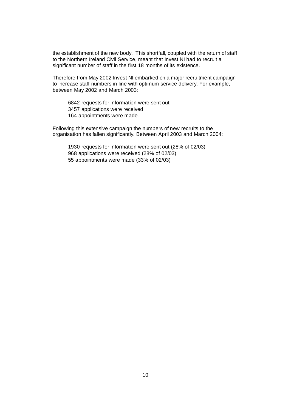the establishment of the new body. This shortfall, coupled with the return of staff to the Northern Ireland Civil Service, meant that Invest NI had to recruit a significant number of staff in the first 18 months of its existence.

Therefore from May 2002 Invest NI embarked on a major recruitment campaign to increase staff numbers in line with optimum service delivery. For example, between May 2002 and March 2003:

6842 requests for information were sent out, 3457 applications were received 164 appointments were made.

Following this extensive campaign the numbers of new recruits to the organisation has fallen significantly. Between April 2003 and March 2004:

1930 requests for information were sent out (28% of 02/03) 968 applications were received (28% of 02/03) 55 appointments were made (33% of 02/03)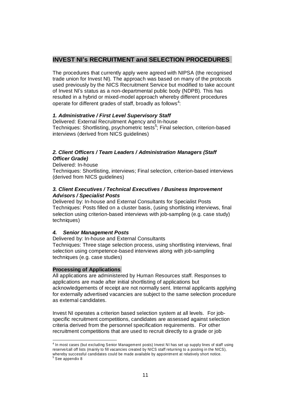### **INVEST NI's RECRUITMENT and SELECTION PROCEDURES**

The procedures that currently apply were agreed with NIPSA (the recognised trade union for Invest NI). The approach was based on many of the protocols used previously by the NICS Recruitment Service but modified to take account of Invest NI's status as a non-departmental public body (NDPB). This has resulted in a hybrid or mixed-model approach whereby different procedures operate for different grades of staff, broadly as follows<sup>4</sup>:

### *1. Administrative / First Level Supervisory Staff*

Delivered: External Recruitment Agency and In-house Techniques: Shortlisting, psychometric tests<sup>5</sup>; Final selection, criterion-based interviews (derived from NICS guidelines)

### *2. Client Officers / Team Leaders / Administration Managers (Staff Officer Grade)*

Delivered: In-house Techniques: Shortlisting, interviews; Final selection, criterion-based interviews (derived from NICS guidelines)

### *3. Client Executives / Technical Executives / Business Improvement Advisors / Specialist Posts*

Delivered by: In-house and External Consultants for Specialist Posts Techniques: Posts filled on a cluster basis, (using shortlisting interviews, final selection using criterion-based interviews with job-sampling (e.g. case study) techniques)

### *4. Senior Management Posts*

Delivered by: In-house and External Consultants

Techniques: Three stage selection process, using shortlisting interviews, final selection using competence-based interviews along with job-sampling techniques (e.g. case studies)

### **Processing of Applications**

All applications are administered by Human Resources staff. Responses to applications are made after initial shortlisting of applications but acknowledgements of receipt are not normally sent. Internal applicants applying for externally advertised vacancies are subject to the same selection procedure as external candidates.

Invest NI operates a criterion based selection system at all levels. For jobspecific recruitment competitions, candidates are assessed against selection criteria derived from the personnel specification requirements. For other recruitment competitions that are used to recruit directly to a grade or job

<sup>&</sup>lt;sup>4</sup> In most cases (but excluding Senior Management posts) Invest NI has set up supply lines of staff using reserve/call off lists (mainly to fill vacancies created by NICS staff returning to a posting in the NICS), whereby successful candidates could be made available by appointment at relatively short notice.<br><sup>5</sup> See appendix 8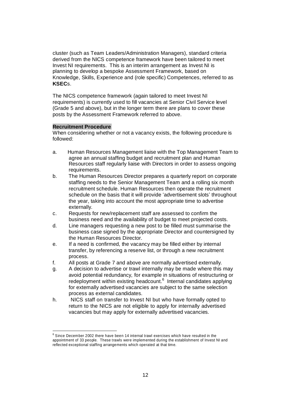cluster (such as Team Leaders/Administration Managers), standard criteria derived from the NICS competence framework have been tailored to meet Invest NI requirements. This is an interim arrangement as Invest NI is planning to develop a bespoke Assessment Framework, based on Knowledge, Skills, Experience and (role specific) Competences, referred to as **KSEC**s.

The NICS competence framework (again tailored to meet Invest NI requirements) is currently used to fill vacancies at Senior Civil Service level (Grade 5 and above), but in the longer term there are plans to cover these posts by the Assessment Framework referred to above.

### **Recruitment Procedure**

When considering whether or not a vacancy exists, the following procedure is followed:

- a. Human Resources Management liaise with the Top Management Team to agree an annual staffing budget and recruitment plan and Human Resources staff regularly liaise with Directors in order to assess ongoing requirements.
- b. The Human Resources Director prepares a quarterly report on corporate staffing needs to the Senior Management Team and a rolling six month recruitment schedule. Human Resources then operate the recruitment schedule on the basis that it will provide 'advertisement slots' throughout the year, taking into account the most appropriate time to advertise externally.
- c. Requests for new/replacement staff are assessed to confirm the business need and the availability of budget to meet projected costs.
- d. Line managers requesting a new post to be filled must summarise the business case signed by the appropriate Director and countersigned by the Human Resources Director.
- e. If a need is confirmed, the vacancy may be filled either by internal transfer, by referencing a reserve list, or through a new recruitment process.
- f. All posts at Grade 7 and above are normally advertised externally.
- g. A decision to advertise or trawl internally may be made where this may avoid potential redundancy, for example in situations of restructuring or redeployment within existing headcount.<sup>6</sup> Internal candidates applying for externally advertised vacancies are subject to the same selection process as external candidates.
- h. NICS staff on transfer to Invest NI but who have formally opted to return to the NICS are not eligible to apply for internally advertised vacancies but may apply for externally advertised vacancies.

<sup>&</sup>lt;sup>6</sup> Since December 2002 there have been 14 internal trawl exercises which have resulted in the appointment of 33 people. These trawls were implemented during the establishment of Invest NI and reflected exceptional staffing arrangements which operated at that time.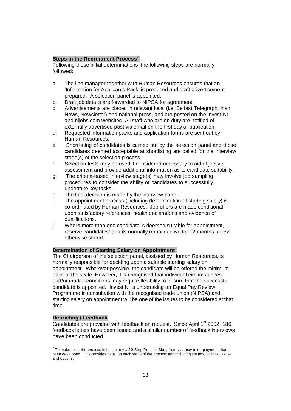### **Steps in the Recruitment Process<sup>7</sup>**

Following these initial determinations, the following steps are normally followed:

- a. The line manager together with Human Resources ensures that an Information for Applicants Pack' is produced and draft advertisement prepared. A selection panel is appointed.
- b. Draft job details are forwarded to NIPSA for agreement.
- c. Advertisements are placed in relevant local (i.e. Belfast Telegraph, Irish News, Newsletter) and national press, and are posted on the Invest NI and nijobs.com websites. All staff who are on duty are notified of externally advertised post via email on the first day of publication.
- d. Requested information packs and application forms are sent out by Human Resources.
- e. Shortlisting of candidates is carried out by the selection panel and those candidates deemed acceptable at shortlisting are called for the interview stage(s) of the selection process.
- f. Selection tests may be used if considered necessary to aid objective assessment and provide additional information as to candidate suitability.
- g. The criteria-based interview stage(s) may involve job sampling procedures to consider the ability of candidates to successfully undertake key tasks.
- h. The final decision is made by the interview panel.
- i. The appointment process (including determination of starting salary) is co-ordinated by Human Resources. Job offers are made conditional upon satisfactory references, health declarations and evidence of qualifications.
- j. Where more than one candidate is deemed suitable for appointment, reserve candidates' details normally remain active for 12 months unless otherwise stated.

### **Determination of Starting Salary on Appointment**

The Chairperson of the selection panel, assisted by Human Resources, is normally responsible for deciding upon a suitable starting salary on appointment. Wherever possible, the candidate will be offered the minimum point of the scale. However, it is recognised that individual circumstances and/or market conditions may require flexibility to ensure that the successful candidate is appointed. Invest NI is undertaking an Equal Pay Review Programme in consultation with the recognised trade union (NIPSA) and starting salary on appointment will be one of the issues to be considered at that time.

#### **Debriefing / Feedback**

Candidates are provided with feedback on request. Since April 1<sup>st</sup> 2002, 186 feedback letters have been issued and a similar number of feedback interviews have been conducted.

 $^7$  To make clear the process in its entirety a 10-Step Process Map, from vacancy to employment, has been developed. This provides detail on each stage of the process and including timings, actions, issues and options.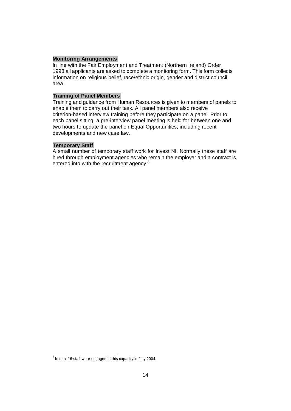### **Monitoring Arrangements**

In line with the Fair Employment and Treatment (Northern Ireland) Order 1998 all applicants are asked to complete a monitoring form. This form collects information on religious belief, race/ethnic origin, gender and district council area.

### **Training of Panel Members**

Training and guidance from Human Resources is given to members of panels to enable them to carry out their task. All panel members also receive criterion-based interview training before they participate on a panel. Prior to each panel sitting, a pre-interview panel meeting is held for between one and two hours to update the panel on Equal Opportunities, including recent developments and new case law.

#### **Temporary Staff**

A small number of temporary staff work for Invest NI. Normally these staff are hired through employment agencies who remain the employer and a contract is entered into with the recruitment agency.<sup>8</sup>

 $8$  In total 16 staff were engaged in this capacity in July 2004.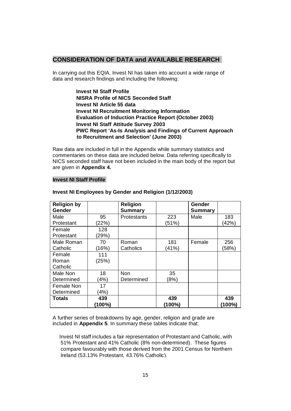### **CONSIDERATION OF DATA and AVAILABLE RESEARCH**

In carrying out this EQIA, Invest NI has taken into account a wide range of data and research findings and including the following:

> **Invest NI Staff Profile NISRA Profile of NICS Seconded Staff Invest NI Article 55 data Invest NI Recruitment Monitoring Information Evaluation of Induction Practice Report (October 2003) Invest NI Staff Attitude Survey 2003 PWC Report µAs-Is Analysis and Findings of Current Approach to Recruitment and Selection¶ (June 2003)**

Raw data are included in full in the Appendix while summary statistics and commentaries on these data are included below. Data referring specifically to NICS seconded staff have not been included in the main body of the report but are given in **Appendix 4.**

#### **Invest NI Staff Profile**

| <b>Religion by</b><br>Gender |        | <b>Religion</b><br><b>Summary</b> |        | Gender<br><b>Summary</b> |        |
|------------------------------|--------|-----------------------------------|--------|--------------------------|--------|
| Male                         | 95     | Protestants                       | 223    | Male                     | 183    |
| Protestant                   | (22%)  |                                   | (51%)  |                          | (42%)  |
|                              |        |                                   |        |                          |        |
| Female                       | 128    |                                   |        |                          |        |
| Protestant                   | (29%)  |                                   |        |                          |        |
| Male Roman                   | 70     | Roman                             | 181    | Female                   | 256    |
| Catholic                     | (16%)  | Catholics                         | (41%)  |                          | (58%)  |
| Female                       | 111    |                                   |        |                          |        |
| Roman                        | (25%)  |                                   |        |                          |        |
| Catholic                     |        |                                   |        |                          |        |
| Male Non                     | 18     | Non                               | 35     |                          |        |
| Determined                   | (4%)   | Determined                        | (8%)   |                          |        |
| Female Non                   | 17     |                                   |        |                          |        |
| Determined                   | (4%)   |                                   |        |                          |        |
| <b>Totals</b>                | 439    |                                   | 439    |                          | 439    |
|                              | (100%) |                                   | (100%) |                          | (100%) |

### **Invest NI Employees by Gender and Religion (1/12/2003)**

A further series of breakdowns by age, gender, religion and grade are included in **Appendix 5**. In summary these tables indicate that:

Invest NI staff includes a fair representation of Protestant and Catholic, with 51% Protestant and 41% Catholic (8% non-determined). These figures compare favourably with those derived from the 2001 Census for Northern Ireland (53.13% Protestant, 43.76% Catholic).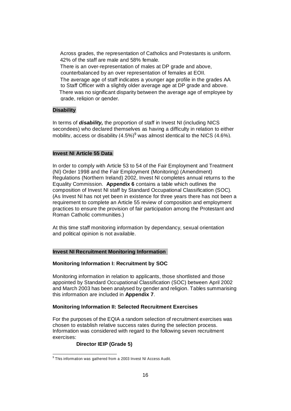Across grades, the representation of Catholics and Protestants is uniform. 42% of the staff are male and 58% female. There is an over-representation of males at DP grade and above, counterbalanced by an over representation of females at EOII. The average age of staff indicates a younger age profile in the grades AA to Staff Officer with a slightly older average age at DP grade and above. There was no significant disparity between the average age of employee by grade, religion or gender.

### **Disability**

In terms of *disability,* the proportion of staff in Invest NI (including NICS secondees) who declared themselves as having a difficulty in relation to either mobility, access or disability (4.5%)<sup>9</sup> was almost identical to the NICS (4.6%).

#### **Invest NI Article 55 Data**

In order to comply with Article 53 to 54 of the Fair Employment and Treatment (NI) Order 1998 and the Fair Employment (Monitoring) (Amendment) Regulations (Northern Ireland) 2002, Invest NI completes annual returns to the Equality Commission. **Appendix 6** contains a table which outlines the composition of Invest NI staff by Standard Occupational Classification (SOC). (As Invest NI has not yet been in existence for three years there has not been a requirement to complete an Article 55 review of composition and employment practices to ensure the provision of fair participation among the Protestant and Roman Catholic communities.)

At this time staff monitoring information by dependancy, sexual orientation and political opinion is not available.

#### **Invest NI Recruitment Monitoring Information**

#### **Monitoring Information I: Recruitment by SOC**

Monitoring information in relation to applicants, those shortlisted and those appointed by Standard Occupational Classification (SOC) between April 2002 and March 2003 has been analysed by gender and religion. Tables summarising this information are included in **Appendix 7**.

### **Monitoring Information II: Selected Recruitment Exercises**

For the purposes of the EQIA a random selection of recruitment exercises was chosen to establish relative success rates during the selection process. Information was considered with regard to the following seven recruitment exercises:

### **Director IEIP (Grade 5)**

<sup>&</sup>lt;sup>9</sup> This information was gathered from a 2003 Invest NI Access Audit.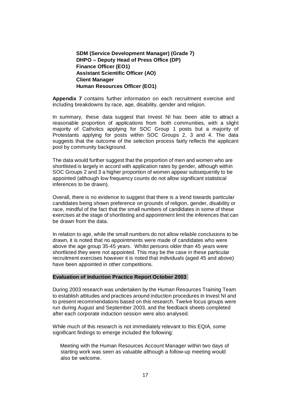**SDM (Service Development Manager) (Grade 7) DHPO ± Deputy Head of Press Office (DP) Finance Officer (EO1) Assistant Scientific Officer (AO) Client Manager Human Resources Officer (EO1)**

**Appendix 7** contains further information on each recruitment exercise and including breakdowns by race, age, disability, gender and religion.

In summary, these data suggest that Invest NI has been able to attract a reasonable proportion of applications from both communities, with a slight majority of Catholics applying for SOC Group 1 posts but a majority of Protestants applying for posts within SOC Groups 2, 3 and 4. The data suggests that the outcome of the selection process fairly reflects the applicant pool by community background.

The data would further suggest that the proportion of men and women who are shortlisted is largely in accord with application rates by gender, although within SOC Groups 2 and 3 a higher proportion of women appear subsequently to be appointed (although low frequency counts do not allow significant statistical inferences to be drawn).

Overall, there is no evidence to suggest that there is a trend towards particular candidates being shown preference on grounds of religion, gender, disability or race, mindful of the fact that the small numbers of candidates in some of these exercises at the stage of shortlisting and appointment limit the inferences that can be drawn from the data.

In relation to age, while the small numbers do not allow reliable conclusions to be drawn, it is noted that no appointments were made of candidates who were above the age group 35-45 years. Whilst persons older than 45 years were shortlisted they were not appointed. This may be the case in these particular recruitment exercises however it is noted that individuals (aged 45 and above) have been appointed in other competitions.

### **Evaluation of Induction Practice Report October 2003**

During 2003 research was undertaken by the Human Resources Training Team to establish attitudes and practices around induction procedures in Invest NI and to present recommendations based on this research. Twelve focus groups were run during August and September 2003, and the feedback sheets completed after each corporate induction session were also analysed.

While much of this research is not immediately relevant to this EQIA, some significant findings to emerge included the following:

Meeting with the Human Resources Account Manager within two days of starting work was seen as valuable although a follow-up meeting would also be welcome.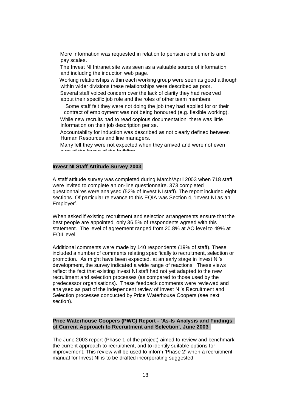More information was requested in relation to pension entitlements and pay scales.

The Invest NI Intranet site was seen as a valuable source of information and including the induction web page.

Working relationships within each working group were seen as good although within wider divisions these relationships were described as poor.

Several staff voiced concern over the lack of clarity they had received about their specific job role and the roles of other team members.

Some staff felt they were not doing the job they had applied for or their contract of employment was not being honoured (e.g. flexible working).

While new recruits had to read copious documentation, there was little information on their job description per se.

Accountability for induction was described as not clearly defined between Human Resources and line managers.

Many felt they were not expected when they arrived and were not even sure of the layout of the building.

### **Invest NI Staff Attitude Survey 2003**

A staff attitude survey was completed during March/April 2003 when 718 staff were invited to complete an on-line questionnaire. 373 completed questionnaires were analysed (52% of Invest NI staff). The report included eight sections. Of particular relevance to this EQIA was Section 4, 'Invest NI as an Employer'.

When asked if existing recruitment and selection arrangements ensure that the best people are appointed, only 36.5% of respondents agreed with this statement. The level of agreement ranged from 20.8% at AO level to 49% at EOII level.

Additional comments were made by 140 respondents (19% of staff). These included a number of comments relating specifically to recruitment, selection or promotion. As might have been expected, at an early stage in Invest NI's development, the survey indicated a wide range of reactions. These views reflect the fact that existing Invest NI staff had not yet adapted to the new recruitment and selection processes (as compared to those used by the predecessor organisations). These feedback comments were reviewed and analysed as part of the independent review of Invest NI's Recruitment and Selection processes conducted by Price Waterhouse Coopers (see next section).

#### **Price Waterhouse Coopers (PWC) Report - µAs-Is Analysis and Findings of Current Approach to Recruitment and Selection¶, June 2003**

The June 2003 report (Phase 1 of the project) aimed to review and benchmark the current approach to recruitment, and to identify suitable options for improvement. This review will be used to inform 'Phase 2' when a recruitment manual for Invest NI is to be drafted incorporating suggested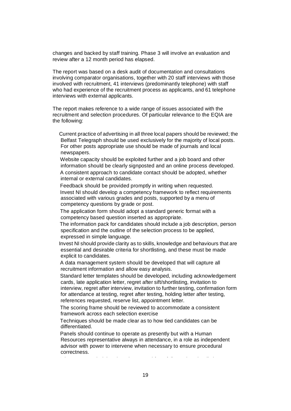changes and backed by staff training. Phase 3 will involve an evaluation and review after a 12 month period has elapsed.

The report was based on a desk audit of documentation and consultations involving comparator organisations, together with 20 staff interviews with those involved with recruitment, 41 interviews (predominantly telephone) with staff who had experience of the recruitment process as applicants, and 61 telephone interviews with external applicants.

The report makes reference to a wide range of issues associated with the recruitment and selection procedures. Of particular relevance to the EQIA are the following:

Current practice of advertising in all three local papers should be reviewed; the Belfast Telegraph should be used exclusively for the majority of local posts. For other posts appropriate use should be made of journals and local newspapers.

Website capacity should be exploited further and a job board and other information should be clearly signposted and an online process developed. A consistent approach to candidate contact should be adopted, whether internal or external candidates.

Feedback should be provided promptly in writing when requested. Invest NI should develop a competency framework to reflect requirements associated with various grades and posts, supported by a menu of competency questions by grade or post.

The application form should adopt a standard generic format with a competency based question inserted as appropriate.

The information pack for candidates should include a job description, person specification and the outline of the selection process to be applied, expressed in simple language.

Invest NI should provide clarity as to skills, knowledge and behaviours that are essential and desirable criteria for shortlisting, and these must be made explicit to candidates.

A data management system should be developed that will capture all recruitment information and allow easy analysis.

Standard letter templates should be developed, including acknowledgement cards, late application letter, regret after sift/shortlisting, invitation to interview, regret after interview, invitation to further testing, confirmation form for attendance at testing, regret after testing, holding letter after testing,

references requested, reserve list, appointment letter.

The scoring frame should be reviewed to accommodate a consistent framework across each selection exercise

Techniques should be made clear as to how tied candidates can be differentiated.

Panels should continue to operate as presently but with a Human Resources representative always in attendance, in a role as independent advisor with power to intervene when necessary to ensure procedural correctness.

It is recommended that there is no need for a full parallel panel at shortlisting,  $\mathcal{L}(\mathcal{L})$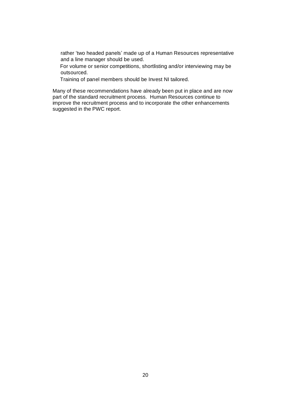rather 'two headed panels' made up of a Human Resources representative and a line manager should be used.

For volume or senior competitions, shortlisting and/or interviewing may be outsourced.

Training of panel members should be Invest NI tailored.

Many of these recommendations have already been put in place and are now part of the standard recruitment process. Human Resources continue to improve the recruitment process and to incorporate the other enhancements suggested in the PWC report.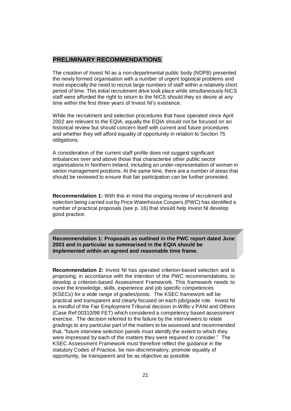### **PRELIMINARY RECOMMENDATIONS**

The creation of Invest NI as a non-departmental public body (NDPB) presented the newly formed organisation with a number of urgent logistical problems and most especially the need to recruit large numbers of staff within a relatively short period of time. This initial recruitment drive took place while simultaneously NICS staff were afforded the right to return to the NICS should they so desire at any time within the first three years of Invest NI's existence.

While the recruitment and selection procedures that have operated since April 2002 are relevant to the EQIA, equally the EQIA should not be focused on an historical review but should concern itself with current and future procedures and whether they will afford equality of opportunity in relation to Section 75 obligations.

A consideration of the current staff profile does not suggest significant imbalances over and above those that characterise other public sector organisations in Northern Ireland, including an under-representation of women in senior management positions. At the same time, there are a number of areas that should be reviewed to ensure that fair participation can be further promoted.

**Recommendation 1:** With this in mind the ongoing review of recruitment and selection being carried out by Price Waterhouse Coopers (PWC) has identified a number of practical proposals (see p. 16) that should help Invest NI develop good practice.

**Recommendation 1: Proposals as outlined in the PWC report dated June 2003 and in particular as summarised in the EQIA should be implemented within an agreed and reasonable time frame.**

**Recommendation 2:** Invest NI has operated criterion-based selection and is proposing, in accordance with the intention of the PWC recommendations, to develop a criterion-based Assessment Framework. This framework needs to cover the knowledge, skills, experience and job specific competences (KSECs) for a wide range of grades/posts. The KSEC framework will be practical and transparent and clearly focused on each job/grade role. Invest NI is mindful of the Fair Employment Tribunal decision in Willis v PANI and Others (Case Ref:00310/98 FET) which considered a competency based assessment exercise. The decision referred to the failure by the interviewers to relate gradings to any particular part of the matters to be assessed and recommended that, "future interview selection panels must identify the extent to which they were impressed by each of the matters they were required to consider." The KSEC Assessment Framework must therefore reflect the guidance in the statutory Codes of Practice, be non-discriminatory, promote equality of opportunity, be transparent and be as objective as possible.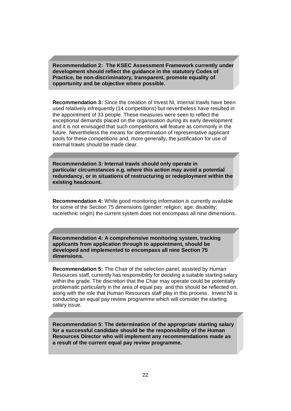**Recommendation 2: The KSEC Assessment Framework currently under development should reflect the guidance in the statutory Codes of Practice, be non-discriminatory, transparent, promote equality of opportunity and be objective where possible.**

**Recommendation 3:** Since the creation of Invest NI, internal trawls have been used relatively infrequently (14 competitions) but nevertheless have resulted in the appointment of 33 people. These measures were seen to reflect the exceptional demands placed on the organisation during its early development and it is not envisaged that such competitions will feature as commonly in the future. Nevertheless the means for determination of representative applicant pools for these competitions and, more generally, the justification for use of internal trawls should be made clear.

**Recommendation 3: Internal trawls should only operate in particular circumstances e.g. where this action may avoid a potential redundancy, or in situations of restructuring or redeployment within the existing headcount.**

**Recommendation 4:** While good monitoring information is currently available for some of the Section 75 dimensions (gender; religion; age; disability; race/ethnic origin) the current system does not encompass all nine dimensions.

**Recommendation 4: A comprehensive monitoring system, tracking applicants from application through to appointment, should be developed and implemented to encompass all nine Section 75 dimensions.**

**Recommendation 5:** The Chair of the selection panel, assisted by Human Resources staff, currently has responsibility for deciding a suitable starting salary within the grade. The discretion that the Chair may operate could be potentially problematic particularly in the area of equal pay and this should be reflected on, along with the role that Human Resources staff play in this process. Invest NI is conducting an equal pay review programme which will consider the starting salary issue.

**Recommendation 5: The determination of the appropriate starting salary for a successful candidate should be the responsibility of the Human Resources Director who will implement any recommendations made as a result of the current equal pay review programme.**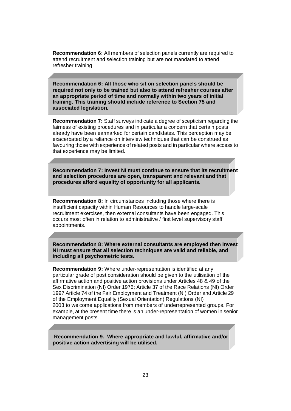**Recommendation 6:** All members of selection panels currently are required to attend recruitment and selection training but are not mandated to attend refresher training

**Recommendation 6: All those who sit on selection panels should be required not only to be trained but also to attend refresher courses after an appropriate period of time and normally within two years of initial training. This training should include reference to Section 75 and associated legislation.**

**Recommendation 7:** Staff surveys indicate a degree of scepticism regarding the fairness of existing procedures and in particular a concern that certain posts already have been earmarked for certain candidates. This perception may be exacerbated by a reliance on interview techniques that can be construed as favouring those with experience of related posts and in particular where access to that experience may be limited.

**Recommendation 7: Invest NI must continue to ensure that its recruitment and selection procedures are open, transparent and relevant and that procedures afford equality of opportunity for all applicants.**

**Recommendation 8:** In circumstances including those where there is insufficient capacity within Human Resources to handle large-scale recruitment exercises, then external consultants have been engaged. This occurs most often in relation to administrative / first level supervisory staff appointments.

**Recommendation 8: Where external consultants are employed then Invest NI must ensure that all selection techniques are valid and reliable, and including all psychometric tests.**

**Recommendation 9:** Where under-representation is identified at any particular grade of post consideration should be given to the utilisation of the affirmative action and positive action provisions under Articles 48 & 49 of the Sex Discrimination (NI) Order 1976; Article 37 of the Race Relations (NI) Order 1997 Article 74 of the Fair Employment and Treatment (NI) Order and Article 29 of the Employment Equality (Sexual Orientation) Regulations (NI) 2003 to welcome applications from members of underrepresented groups. For example, at the present time there is an under-representation of women in senior management posts.

**Recommendation 9. Where appropriate and lawful, affirmative and/or positive action advertising will be utilised.**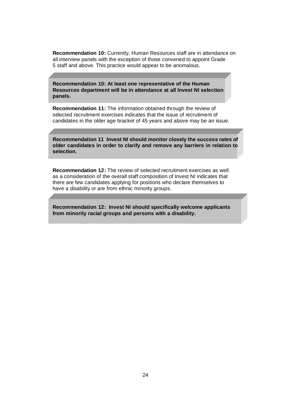**Recommendation 10:** Currently, Human Resources staff are in attendance on all interview panels with the exception of those convened to appoint Grade 5 staff and above. This practice would appear to be anomalous.

**Recommendation 10: At least one representative of the Human Resources department will be in attendance at all Invest NI selection panels.**

**Recommendation 11:** The information obtained through the review of selected recruitment exercises indicates that the issue of recruitment of candidates in the older age bracket of 45 years and above may be an issue.

**Recommendation 11 Invest NI should monitor closely the success rates of older candidates in order to clarify and remove any barriers in relation to selection.**

**Recommendation 12:** The review of selected recruitment exercises as well as a consideration of the overall staff composition of Invest NI indicates that there are few candidates applying for positions who declare themselves to have a disability or are from ethnic minority groups.

**Recommendation 12: Invest NI should specifically welcome applicants from minority racial groups and persons with a disability.**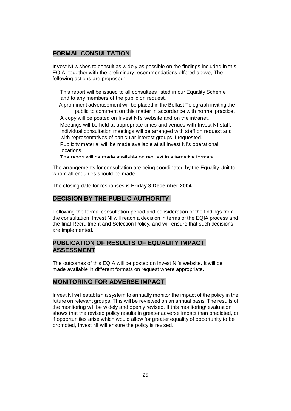### **FORMAL CONSULTATION**

Invest NI wishes to consult as widely as possible on the findings included in this EQIA, together with the preliminary recommendations offered above, The following actions are proposed:

This report will be issued to all consultees listed in our Equality Scheme and to any members of the public on request.

A prominent advertisement will be placed in the Belfast Telegraph inviting the public to comment on this matter in accordance with normal practice.

A copy will be posted on Invest NI's website and on the intranet. Meetings will be held at appropriate times and venues with Invest NI staff. Individual consultation meetings will be arranged with staff on request and with representatives of particular interest groups if requested.

Publicity material will be made available at all Invest NI's operational locations.

The report will be made available on request in alternative formats.

The arrangements for consultation are being coordinated by the Equality Unit to whom all enquiries should be made.

The closing date for responses is **Friday 3 December 2004.**

### **DECISION BY THE PUBLIC AUTHORITY**

Following the formal consultation period and consideration of the findings from the consultation, Invest NI will reach a decision in terms of the EQIA process and the final Recruitment and Selection Policy, and will ensure that such decisions are implemented.

### **PUBLICATION OF RESULTS OF EQUALITY IMPACT ASSESSMENT**

The outcomes of this EQIA will be posted on Invest NI's website. It will be made available in different formats on request where appropriate.

### **MONITORING FOR ADVERSE IMPACT**

Invest NI will establish a system to annually monitor the impact of the policy in the future on relevant groups. This will be reviewed on an annual basis. The results of the monitoring will be widely and openly revised. If this monitoring/ evaluation shows that the revised policy results in greater adverse impact than predicted, or if opportunities arise which would allow for greater equality of opportunity to be promoted, Invest NI will ensure the policy is revised.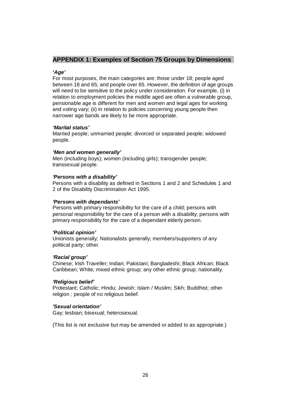### **APPENDIX 1: Examples of Section 75 Groups by Dimensions**

### **µ***Age¶*

For most purposes, the main categories are: those under 18; people aged between 18 and 65; and people over 65. However, the definition of age groups will need to be sensitive to the policy under consideration. For example, (i) in relation to employment policies the middle aged are often a vulnerable group, pensionable age is different for men and women and legal ages for working and voting vary; (ii) in relation to policies concerning young people then narrower age bands are likely to be more appropriate.

### *µMarital status¶*

Married people; unmarried people; divorced or separated people; widowed people.

### *'Men and women generally'*

Men (including boys); women (including girls); transgender people; transsexual people.

### *Persons with a disability'*

Persons with a disability as defined in Sections 1 and 2 and Schedules 1 and 2 of the Disability Discrimination Act 1995.

### *<i>Persons* with dependants<sup>*'*</sup></sup>

Persons with primary responsibility for the care of a child; persons with personal responsibility for the care of a person with a disability; persons with primary responsibility for the care of a dependant elderly person.

### *µPolitical opinion¶*

Unionists generally; Nationalists generally; members/supporters of any political party; other.

### *µRacial group¶*

Chinese; Irish Traveller; Indian; Pakistani; Bangladeshi; Black African; Black Caribbean; White; mixed ethnic group; any other ethnic group; nationality.

### *µReligious belief¶*

Protestant; Catholic; Hindu; Jewish; Islam / Muslim; Sikh; Buddhist; other religion ; people of no religious belief.

### *µSexual orientation¶*

Gay; lesbian; bisexual; heterosexual.

(This list is not exclusive but may be amended or added to as appropriate.)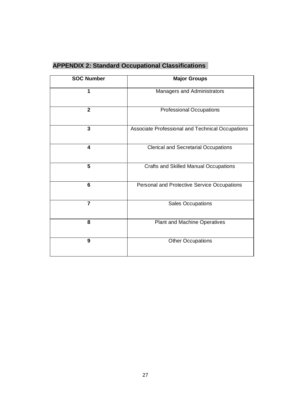| <b>APPENDIX 2: Standard Occupational Classifications</b> |  |  |
|----------------------------------------------------------|--|--|
|----------------------------------------------------------|--|--|

| <b>SOC Number</b>       | <b>Major Groups</b>                              |
|-------------------------|--------------------------------------------------|
| 1                       | Managers and Administrators                      |
| $\overline{2}$          | <b>Professional Occupations</b>                  |
| $\overline{\mathbf{3}}$ | Associate Professional and Technical Occupations |
| 4                       | <b>Clerical and Secretarial Occupations</b>      |
| 5                       | <b>Crafts and Skilled Manual Occupations</b>     |
| 6                       | Personal and Protective Service Occupations      |
| 7                       | Sales Occupations                                |
| 8                       | Plant and Machine Operatives                     |
| 9                       | <b>Other Occupations</b>                         |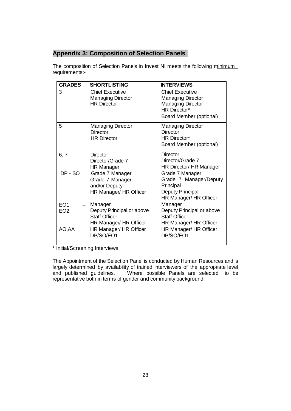## **Appendix 3: Composition of Selection Panels**

The composition of Selection Panels in Invest NI meets the following minimum requirements:-

| <b>GRADES</b>                      | <b>SHORTLISTING</b>                                                                    | <b>INTERVIEWS</b>                                                                                                                |
|------------------------------------|----------------------------------------------------------------------------------------|----------------------------------------------------------------------------------------------------------------------------------|
| 3                                  | <b>Chief Executive</b><br><b>Managing Director</b><br><b>HR Director</b>               | <b>Chief Executive</b><br><b>Managing Director</b><br><b>Managing Director</b><br><b>HR Director*</b><br>Board Member (optional) |
| 5                                  | <b>Managing Director</b><br><b>Director</b><br><b>HR Director</b>                      | <b>Managing Director</b><br><b>Director</b><br><b>HR Director*</b><br>Board Member (optional)                                    |
| 6, 7                               | <b>Director</b><br>Director/Grade 7<br><b>HR Manager</b>                               | <b>Director</b><br>Director/Grade 7<br>HR Director/ HR Manager                                                                   |
| DP - SO                            | Grade 7 Manager<br>Grade 7 Manager<br>and/or Deputy<br>HR Manager/ HR Officer          | Grade 7 Manager<br>Grade 7 Manager/Deputy<br>Principal<br>Deputy Principal<br>HR Manager/ HR Officer                             |
| EO <sub>1</sub><br>EO <sub>2</sub> | Manager<br>Deputy Principal or above<br><b>Staff Officer</b><br>HR Manager/ HR Officer | Manager<br>Deputy Principal or above<br><b>Staff Officer</b><br>HR Manager/ HR Officer                                           |
| AO,AA                              | HR Manager/ HR Officer<br>DP/SO/EO1                                                    | HR Manager/ HR Officer<br>DP/SO/EO1                                                                                              |

\* Initial/Screening Interviews

The Appointment of the Selection Panel is conducted by Human Resources and is largely determined by availability of trained interviewers of the appropriate level and published guidelines. Where possible Panels are selected to be representative both in terms of gender and community background.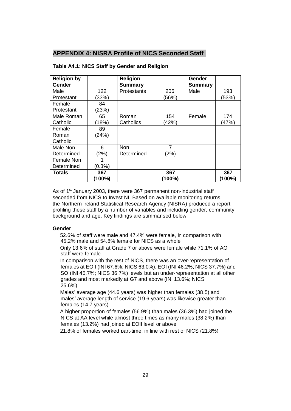### **APPENDIX 4: NISRA Profile of NICS Seconded Staff**

| <b>Religion by</b><br>Gender |           | <b>Religion</b><br><b>Summary</b> |        | Gender<br><b>Summary</b> |        |
|------------------------------|-----------|-----------------------------------|--------|--------------------------|--------|
| Male                         | 122       | <b>Protestants</b>                | 206    | Male                     | 193    |
| Protestant                   | (33%)     |                                   | (56%)  |                          | (53%)  |
| Female                       | 84        |                                   |        |                          |        |
| Protestant                   | (23%)     |                                   |        |                          |        |
| Male Roman                   | 65        | Roman                             | 154    | Female                   | 174    |
| Catholic                     | (18%)     | Catholics                         | (42%)  |                          | (47%)  |
| Female                       | 89        |                                   |        |                          |        |
| Roman                        | (24%)     |                                   |        |                          |        |
| Catholic                     |           |                                   |        |                          |        |
| Male Non                     | 6         | <b>Non</b>                        | 7      |                          |        |
| Determined                   | (2%)      | Determined                        | (2%)   |                          |        |
| <b>Female Non</b>            |           |                                   |        |                          |        |
| Determined                   | $(0.3\%)$ |                                   |        |                          |        |
| <b>Totals</b>                | 367       |                                   | 367    |                          | 367    |
|                              | (100%)    |                                   | (100%) |                          | (100%) |

### **Table A4.1: NICS Staff by Gender and Religion**

As of  $1<sup>st</sup>$  January 2003, there were 367 permanent non-industrial staff seconded from NICS to Invest NI. Based on available monitoring returns, the Northern Ireland Statistical Research Agency (NISRA) produced a report profiling these staff by a number of variables and including gender, community background and age. Key findings are summarised below.

#### **Gender**

52.6% of staff were male and 47.4% were female, in comparison with 45.2% male and 54.8% female for NICS as a whole

Only 13.6% of staff at Grade 7 or above were female while 71.1% of AO staff were female

In comparison with the rest of NICS, there was an over-representation of females at EOII (INI 67.6%; NICS 63.0%), EOI (INI 46.2%; NICS 37.7%) and SO (INI 45.7%; NICS 36.7%) levels but an under-representation at all other grades and most markedly at G7 and above (INI 13.6%; NICS 25.6%)

Males' average age (44.6 years) was higher than females (38.5) and males' average length of service (19.6 years) was likewise greater than females (14.7 years)

A higher proportion of females (56.9%) than males (36.3%) had joined the NICS at AA level while almost three times as many males (38.2%) than females (13.2%) had joined at EOII level or above

21.8% of females worked part-time, in line with rest of NICS (21.8%)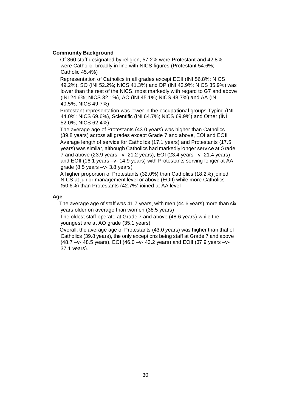### **Community Background**

Of 360 staff designated by religion, 57.2% were Protestant and 42.8% were Catholic, broadly in line with NICS figures (Protestant 54.6%; Catholic 45.4%)

Representation of Catholics in all grades except EOII (INI 56.8%; NICS 49.2%), SO (INI 52.2%; NICS 41.3%) and DP (INI 43.9%; NICS 35.9%) was lower than the rest of the NICS, most markedly with regard to G7 and above (INI 24.6%; NICS 32.1%), AO (INI 45.1%; NICS 48.7%) and AA (INI 40.5%; NICS 49.7%)

Protestant representation was lower in the occupational groups Typing (INI 44.0%; NICS 69.6%), Scientific (INI 64.7%; NICS 69.9%) and Other (INI 52.0%; NICS 62.4%)

The average age of Protestants (43.0 years) was higher than Catholics (39.8 years) across all grades except Grade 7 and above, EOI and EOII Average length of service for Catholics (17.1 years) and Protestants (17.5 years) was similar, although Catholics had markedly longer service at Grade 7 and above (23.9 years  $-v- 21.2$  years), EOI (23.4 years  $-v- 21.4$  years) and EOII (16.1 years -v- 14.9 years) with Protestants serving longer at AA grade  $(8.5 \text{ years} -v - 3.8 \text{ years})$ 

A higher proportion of Protestants (32.0%) than Catholics (18.2%) joined NICS at junior management level or above (EOII) while more Catholics (50.6%) than Protestants (42.7%) joined at AA level

#### **Age**

The average age of staff was 41.7 years, with men (44.6 years) more than six years older on average than women (38.5 years)

The oldest staff operate at Grade 7 and above (48.6 years) while the youngest are at AO grade (35.1 years)

Overall, the average age of Protestants (43.0 years) was higher than that of Catholics (39.8 years), the only exceptions being staff at Grade 7 and above (48.7  $-v-$  48.5 years), EOI (46.0  $-v-$  43.2 years) and EOII (37.9 years  $-v-$ 37.1 years).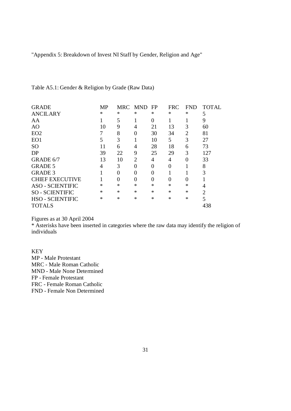"Appendix 5: Breakdown of Invest NI Staff by Gender, Religion and Age"

| <b>GRADE</b>            | <b>MP</b> |                | MRC MND  | FP       | <b>FRC</b> | <b>FND</b>     | <b>TOTAL</b>   |
|-------------------------|-----------|----------------|----------|----------|------------|----------------|----------------|
| <b>ANCILARY</b>         | ∗         | ∗              | ∗        | $\ast$   | ∗          | $\ast$         | 5              |
| AA                      |           | 5              |          | $\theta$ |            |                | 9              |
| AO                      | 10        | 9              | 4        | 21       | 13         | 3              | 60             |
| EO <sub>2</sub>         |           | 8              | 0        | 30       | 34         | $\overline{2}$ | 81             |
| EO1                     | 5         | 3              |          | 10       | 5          | 3              | 27             |
| <b>SO</b>               | 11        | 6              | 4        | 28       | 18         | 6              | 73             |
| DP                      | 39        | 22             | 9        | 25       | 29         | 3              | 127            |
| GRADE 6/7               | 13        | 10             | 2        | 4        | 4          | 0              | 33             |
| <b>GRADE 5</b>          | 4         | 3              | $\theta$ | $\theta$ | 0          |                | 8              |
| <b>GRADE 3</b>          |           | $\theta$       |          | 0        |            |                | 3              |
| <b>CHIEF EXECUTIVE</b>  |           | $\overline{0}$ |          | 0        | 0          | 0              |                |
| <b>ASO - SCIENTIFIC</b> | $\ast$    | $\ast$         | $\ast$   | $\ast$   | $\ast$     | $\ast$         | 4              |
| <b>SO - SCIENTIFIC</b>  | $\ast$    | $\ast$         | $\ast$   | $\ast$   | $\ast$     | $\ast$         | $\overline{2}$ |
| <b>HSO - SCIENTIFIC</b> | $\ast$    | $\ast$         | $\ast$   | $\ast$   | $\ast$     | $\ast$         | 5              |
| <b>TOTALS</b>           |           |                |          |          |            |                | 438            |
|                         |           |                |          |          |            |                |                |

Table A5.1: Gender & Religion by Grade (Raw Data)

Figures as at 30 April 2004

\* Asterisks have been inserted in categories where the raw data may identify the religion of individuals

**KEY** MP - Male Protestant MRC - Male Roman Catholic MND - Male None Determined FP - Female Protestant FRC - Female Roman Catholic FND - Female Non Determined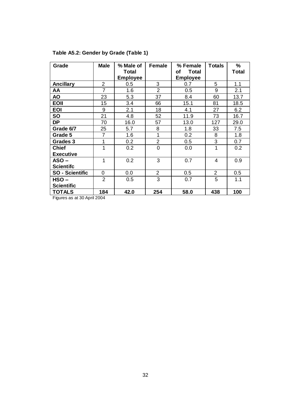| Grade                  | <b>Male</b>    | % Male of<br><b>Total</b> | Female         | % Female<br>Total<br>οf | <b>Totals</b>  | $\frac{0}{0}$<br><b>Total</b> |
|------------------------|----------------|---------------------------|----------------|-------------------------|----------------|-------------------------------|
|                        |                | <b>Employee</b>           |                | <b>Employee</b>         |                |                               |
| <b>Ancillary</b>       | 2              | 0.5                       | 3              | 0.7                     | 5              | 1.1                           |
| AA                     | $\overline{7}$ | 1.6                       | $\overline{2}$ | 0.5                     | 9              | 2.1                           |
| <b>AO</b>              | 23             | 5.3                       | 37             | 8.4                     | 60             | 13.7                          |
| <b>EOII</b>            | 15             | 3.4                       | 66             | 15.1                    | 81             | 18.5                          |
| <b>EOI</b>             | 9              | 2.1                       | 18             | 4.1                     | 27             | 6.2                           |
| <b>SO</b>              | 21             | 4.8                       | 52             | 11.9                    | 73             | 16.7                          |
| <b>DP</b>              | 70             | 16.0                      | 57             | 13.0                    | 127            | 29.0                          |
| Grade 6/7              | 25             | 5.7                       | 8              | 1.8                     | 33             | 7.5                           |
| Grade 5                | $\overline{7}$ | 1.6                       | 1              | 0.2                     | 8              | 1.8                           |
| Grades 3               | 1              | 0.2                       | $\overline{2}$ | 0.5                     | 3              | 0.7                           |
| <b>Chief</b>           | 1              | 0.2                       | $\overline{0}$ | 0.0                     | 1              | 0.2                           |
| <b>Executive</b>       |                |                           |                |                         |                |                               |
| $ASO -$                | 1              | 0.2                       | 3              | 0.7                     | 4              | 0.9                           |
| <b>Scientifc</b>       |                |                           |                |                         |                |                               |
| <b>SO - Scientific</b> | $\mathbf 0$    | 0.0                       | $\overline{2}$ | 0.5                     | $\overline{2}$ | 0.5                           |
| HSO-                   | $\overline{2}$ | 0.5                       | 3              | 0.7                     | 5              | 1.1                           |
| <b>Scientific</b>      |                |                           |                |                         |                |                               |
| <b>TOTALS</b>          | 184            | 42.0                      | 254            | 58.0                    | 438            | 100                           |

### **Table A5.2: Gender by Grade (Table 1)**

Figures as at 30 April 2004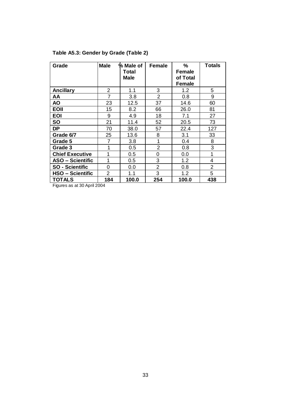| Grade                   | <b>Male</b>    | % Male of<br><b>Total</b><br><b>Male</b> | <b>Female</b>  | $\%$<br>Female<br>of Total<br>Female | <b>Totals</b>  |
|-------------------------|----------------|------------------------------------------|----------------|--------------------------------------|----------------|
| <b>Ancillary</b>        | 2              | 1.1                                      | 3              | 1.2                                  | 5              |
| AA                      | 7              | 3.8                                      | $\overline{2}$ | 0.8                                  | 9              |
| <b>AO</b>               | 23             | 12.5                                     | 37             | 14.6                                 | 60             |
| <b>EOII</b>             | 15             | 8.2                                      | 66             | 26.0                                 | 81             |
| <b>EOI</b>              | 9              | 4.9                                      | 18             | 7.1                                  | 27             |
| <b>SO</b>               | 21             | 11.4                                     | 52             | 20.5                                 | 73             |
| <b>DP</b>               | 70             | 38.0                                     | 57             | 22.4                                 | 127            |
| Grade 6/7               | 25             | 13.6                                     | 8              | 3.1                                  | 33             |
| Grade 5                 | 7              | 3.8                                      | 1              | 0.4                                  | 8              |
| Grade 3                 | 1              | $0.5\,$                                  | 2              | 0.8                                  | 3              |
| <b>Chief Executive</b>  | 1              | $0.5\,$                                  | 0              | 0.0                                  | 1              |
| <b>ASO - Scientific</b> | 1              | 0.5                                      | 3              | 1.2                                  | 4              |
| <b>SO - Scientific</b>  | 0              | 0.0                                      | $\overline{2}$ | 0.8                                  | $\overline{2}$ |
| <b>HSO – Scientific</b> | $\overline{2}$ | 1.1                                      | 3              | 1.2                                  | 5              |
| <b>TOTALS</b>           | 184            | 100.0                                    | 254            | 100.0                                | 438            |

### **Table A5.3: Gender by Grade (Table 2)**

Figures as at 30 April 2004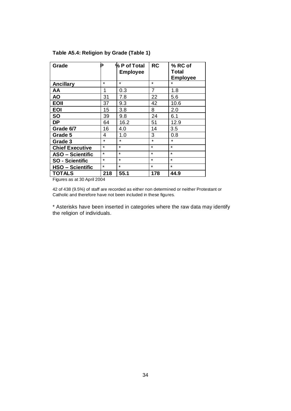| Grade                   |         | % P of Total<br><b>Employee</b> | <b>RC</b> | % RC of<br>Total<br><b>Employee</b> |
|-------------------------|---------|---------------------------------|-----------|-------------------------------------|
| <b>Ancillary</b>        | $\star$ | $\star$                         | $\star$   | $\star$                             |
| AA                      | 1       | 0.3                             | 7         | 1.8                                 |
| <b>AO</b>               | 31      | 7.8                             | 22        | 5.6                                 |
| <b>EOII</b>             | 37      | 9.3                             | 42        | 10.6                                |
| <b>EOI</b>              | 15      | 3.8                             | 8         | 2.0                                 |
| <b>SO</b>               | 39      | 9.8                             | 24        | 6.1                                 |
| <b>DP</b>               | 64      | 16.2                            | 51        | 12.9                                |
| Grade 6/7               | 16      | 4.0                             | 14        | 3.5                                 |
| Grade 5                 | 4       | 1.0                             | 3         | 0.8                                 |
| Grade 3                 | $\star$ | $\star$                         | $\star$   | $\star$                             |
| <b>Chief Executive</b>  | $\star$ | $\star$                         | $\star$   | $\star$                             |
| <b>ASO - Scientific</b> | $\star$ | $\star$                         | $\star$   | $\star$                             |
| <b>SO - Scientific</b>  | $\star$ | $\star$                         | $\star$   | $\star$                             |
| <b>HSO – Scientific</b> | $\star$ | $\star$                         | $\star$   | $\star$                             |
| <b>TOTALS</b>           | 218     | 55.1                            | 178       | 44.9                                |

### **Table A5.4: Religion by Grade (Table 1)**

Figures as at 30 April 2004

42 of 438 (9.5%) of staff are recorded as either non determined or neither Protestant or Catholic and therefore have not been included in these figures.

\* Asterisks have been inserted in categories where the raw data may identify the religion of individuals.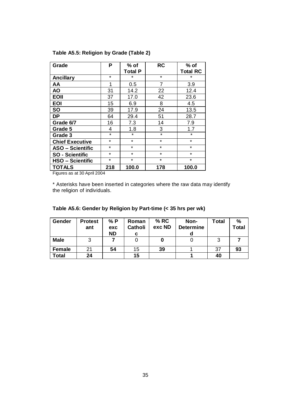| Grade                   | P       | $%$ of         | <b>RC</b> | $%$ of          |
|-------------------------|---------|----------------|-----------|-----------------|
|                         |         | <b>Total P</b> |           | <b>Total RC</b> |
| <b>Ancillary</b>        | $\star$ | $\star$        | $\star$   | $\star$         |
| AA                      | 1       | $0.5\,$        | 7         | 3.9             |
| <b>AO</b>               | 31      | 14.2           | 22        | 12.4            |
| <b>EOII</b>             | 37      | 17.0           | 42        | 23.6            |
| <b>EOI</b>              | 15      | 6.9            | 8         | 4.5             |
| <b>SO</b>               | 39      | 17.9           | 24        | 13.5            |
| <b>DP</b>               | 64      | 29.4           | 51        | 28.7            |
| Grade 6/7               | 16      | 7.3            | 14        | 7.9             |
| Grade 5                 | 4       | 1.8            | 3         | 1.7             |
| Grade 3                 | $\star$ | $\star$        | $\star$   | $\star$         |
| <b>Chief Executive</b>  | $\star$ | $\star$        | $\star$   | $\star$         |
| <b>ASO - Scientific</b> | $\star$ | $\star$        | $\star$   | $\star$         |
| <b>SO - Scientific</b>  | $\star$ | $\star$        | $\star$   | $\star$         |
| <b>HSO - Scientific</b> | $\star$ | $\star$        | $\star$   | $\star$         |
| <b>TOTALS</b>           | 218     | 100.0          | 178       | 100.0           |

### **Table A5.5: Religion by Grade (Table 2)**

Figures as at 30 April 2004

\* Asterisks have been inserted in categories where the raw data may identify the religion of individuals.

| Gender        | <b>Protest</b><br>ant | % P<br>exc<br><b>ND</b> | Roman<br><b>Catholi</b><br>С | % RC<br>exc ND | Non-<br><b>Determine</b> | Total | $\frac{0}{0}$<br><b>Total</b> |
|---------------|-----------------------|-------------------------|------------------------------|----------------|--------------------------|-------|-------------------------------|
| <b>Male</b>   |                       |                         |                              |                |                          |       |                               |
| <b>Female</b> | 21                    | 54                      | 15                           | 39             |                          | 37    | 93                            |
| Total         | 24                    |                         | 15                           |                |                          | 40    |                               |

**Table A5.6: Gender by Religion by Part-time (< 35 hrs per wk)**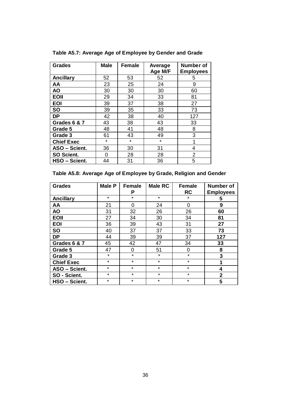| <b>Grades</b>     | <b>Male</b> | Female  | Average | Number of        |
|-------------------|-------------|---------|---------|------------------|
|                   |             |         | Age M/F | <b>Employees</b> |
| <b>Ancillary</b>  | 52          | 53      | 52      | 5                |
| AA                | 23          | 25      | 24      | 9                |
| <b>AO</b>         | 30          | 30      | 30      | 60               |
| <b>EOII</b>       | 29          | 34      | 33      | 81               |
| <b>EOI</b>        | 39          | 37      | 38      | 27               |
| <b>SO</b>         | 39          | 35      | 33      | 73               |
| <b>DP</b>         | 42          | 38      | 40      | 127              |
| Grades 6 & 7      | 43          | 38      | 43      | 33               |
| Grade 5           | 48          | 41      | 48      | 8                |
| Grade 3           | 61          | 43      | 49      | 3                |
| <b>Chief Exec</b> | $\star$     | $\star$ | $\star$ | 1                |
| ASO - Scient.     | 36          | 30      | 31      | 4                |
| SO Scient.        | 0           | 28      | 28      | $\overline{2}$   |
| HSO - Scient.     | 44          | 31      | 36      | 5                |

**Table A5.7: Average Age of Employee by Gender and Grade**

### **Table A5.8: Average Age of Employee by Grade, Religion and Gender**

| <b>Grades</b>     | <b>Male P</b> | <b>Female</b> | Male RC | <b>Female</b> | Number of        |
|-------------------|---------------|---------------|---------|---------------|------------------|
|                   |               | P             |         | <b>RC</b>     | <b>Employees</b> |
| <b>Ancillary</b>  | $\star$       | $\star$       | $\star$ | $\star$       | 5                |
| AA                | 21            | $\Omega$      | 24      | $\Omega$      | 9                |
| <b>AO</b>         | 31            | 32            | 26      | 26            | 60               |
| <b>EOII</b>       | 27            | 34            | 30      | 34            | 81               |
| <b>EOI</b>        | 36            | 39            | 43      | 31            | 27               |
| <b>SO</b>         | 40            | 37            | 37      | 33            | 73               |
| <b>DP</b>         | 44            | 39            | 39      | 37            | 127              |
| Grades 6 & 7      | 45            | 42            | 47      | 34            | 33               |
| Grade 5           | 47            | 0             | 51      | 0             | 8                |
| Grade 3           | $\star$       | $\star$       | $\star$ | $\star$       | 3                |
| <b>Chief Exec</b> | $\star$       | $\star$       | $\star$ | $\star$       | 1                |
| ASO - Scient.     | $\star$       | $\star$       | $\star$ | $\star$       | 4                |
| SO - Scient.      | $\star$       | $\star$       | $\star$ | $\star$       | $\overline{2}$   |
| HSO - Scient.     | $\star$       | $\star$       | $\star$ | $\star$       | 5                |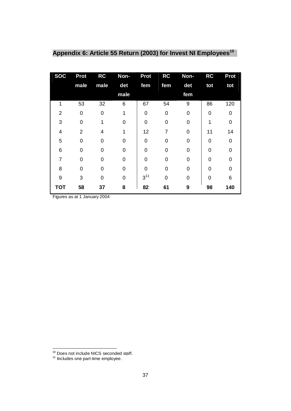| <b>SOC</b>       | <b>Prot</b>    | <b>RC</b> | Non-     | <b>Prot</b> | <b>RC</b>   | Non-     | <b>RC</b> | <b>Prot</b> |
|------------------|----------------|-----------|----------|-------------|-------------|----------|-----------|-------------|
|                  | male           | male      | det      | fem         | fem         | det      | tot       | tot         |
|                  |                |           | male     |             |             | fem      |           |             |
| 1                | 53             | 32        | 6        | 67          | 54          | 9        | 86        | 120         |
| $\overline{2}$   | 0              | 0         |          | $\mathbf 0$ | $\mathbf 0$ | 0        | $\Omega$  | 0           |
| 3                | 0              | 1         | 0        | 0           | 0           | 0        | 1         | O           |
| 4                | $\overline{2}$ | 4         | 1        | 12          | 7           | 0        | 11        | 14          |
| 5                | $\Omega$       | $\Omega$  | 0        | 0           | 0           | $\Omega$ | $\Omega$  | O           |
| 6                | $\Omega$       | 0         | $\Omega$ | $\Omega$    | 0           | $\Omega$ | $\Omega$  | ი           |
| $\overline{7}$   | 0              | 0         | $\Omega$ | 0           | 0           | 0        | $\Omega$  | O           |
| 8                | 0              | 0         | 0        | $\Omega$    | 0           | 0        | $\Omega$  | 0           |
| $\boldsymbol{9}$ | 3              | 0         | $\Omega$ | $3^{11}$    | 0           | 0        | $\Omega$  | 6           |
| <b>TOT</b>       | 58             | 37        | 8        | 82          | 61          | 9        | 98        | 140         |

## **Appendix 6: Article 55 Return (2003) for Invest NI Employees<sup>10</sup>**

Figures as at 1 January 2004

<sup>&</sup>lt;sup>10</sup> Does not include NICS seconded staff.

<sup>&</sup>lt;sup>11</sup> Includes one part-time employee.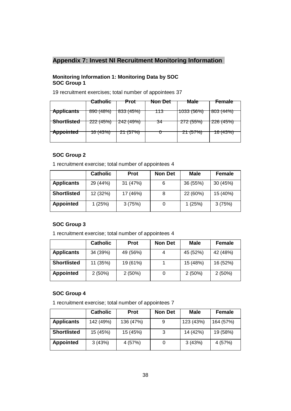### **Appendix 7: Invest NI Recruitment Monitoring Information**

### **Monitoring Information 1: Monitoring Data by SOC SOC Group 1**

19 recruitment exercises; total number of appointees 37

|                   | <b>Catholic</b> | Prot     | Non Det | <b>Male</b> | Female            |
|-------------------|-----------------|----------|---------|-------------|-------------------|
|                   |                 |          |         |             |                   |
| <b>Applicants</b> | 890(48%)        | 833(45%) | 113     | 1033 (56%)  | 803(44%)          |
| Shortlisted       |                 |          |         |             | 0.0011501         |
|                   | 222(45%)        | 242(49%) | 34      | 272(55%)    | <u> 226 (45%)</u> |
| <b>Appointed</b>  | 16 (43%)        | 21(57%)  |         | 21(57%)     | 16 (43%)          |
|                   |                 |          |         |             |                   |
|                   |                 |          |         |             |                   |

### **SOC Group 2**

1 recruitment exercise; total number of appointees 4

|                    | <b>Catholic</b> | <b>Prot</b> | <b>Non Det</b> | <b>Male</b> | Female   |
|--------------------|-----------------|-------------|----------------|-------------|----------|
| <b>Applicants</b>  | 29 (44%)        | 31 (47%)    | 6              | 36 (55%)    | 30 (45%) |
| <b>Shortlisted</b> | 12 (32%)        | 17 (46%)    | 8              | 22 (60%)    | 15 (40%) |
| <b>Appointed</b>   | 1 (25%)         | 3(75%)      |                | 1(25%)      | 3(75%)   |

### **SOC Group 3**

1 recruitment exercise; total number of appointees 4

|                    | <b>Catholic</b> | <b>Prot</b> | <b>Non Det</b> | <b>Male</b> | Female   |
|--------------------|-----------------|-------------|----------------|-------------|----------|
| <b>Applicants</b>  | 34 (39%)        | 49 (56%)    | 4              | 45 (52%)    | 42 (48%) |
| <b>Shortlisted</b> | 11 (35%)        | 19 (61%)    |                | 15 (48%)    | 16 (52%) |
| <b>Appointed</b>   | 2(50%)          | $2(50\%)$   | 0              | 2(50%)      | 2(50%)   |

### **SOC Group 4**

1 recruitment exercise; total number of appointees 7

|                    | <b>Catholic</b> | <b>Prot</b> | <b>Non Det</b> | <b>Male</b> | Female    |
|--------------------|-----------------|-------------|----------------|-------------|-----------|
| <b>Applicants</b>  | 142 (49%)       | 136 (47%)   | 9              | 123 (43%)   | 164 (57%) |
| <b>Shortlisted</b> | 15 (45%)        | 15 (45%)    | 3              | 14 (42%)    | 19 (58%)  |
| <b>Appointed</b>   | 3(43%)          | 4 (57%)     |                | 3(43%)      | 4 (57%)   |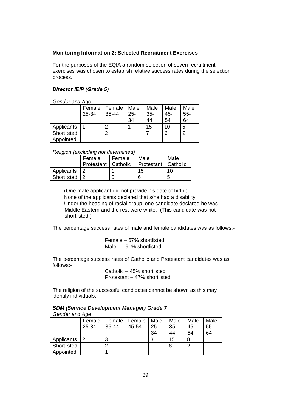### **Monitoring Information 2: Selected Recruitment Exercises**

For the purposes of the EQIA a random selection of seven recruitment exercises was chosen to establish relative success rates during the selection process.

### *Director IEIP (Grade 5)*

*Gender and Age*

|             | Female | Female    | Male   | Male   | Male | Male  |
|-------------|--------|-----------|--------|--------|------|-------|
|             | 25-34  | $35 - 44$ | $25 -$ | $35 -$ | 45-  | $55-$ |
|             |        |           | 34     | 44     | 54   | 64    |
| Applicants  |        | Ω         |        | 15     | 10   | 5     |
| Shortlisted |        | ◠         |        |        | 6    | ◠     |
| Appointed   |        |           |        |        |      |       |

*Religion (excluding not determined)*

|                 | Female                | Female | Male                  | Male |
|-----------------|-----------------------|--------|-----------------------|------|
|                 | Protestant   Catholic |        | Protestant   Catholic |      |
|                 |                       |        |                       |      |
| Applicants      |                       |        | 15                    | 10   |
| Shortlisted   2 |                       |        | 6                     | b    |

(One male applicant did not provide his date of birth.) None of the applicants declared that s/he had a disability. Under the heading of racial group, one candidate declared he was Middle Eastern and the rest were white. (This candidate was not shortlisted.)

The percentage success rates of male and female candidates was as follows:-

Female  $-67%$  shortlisted Male - 91% shortlisted

The percentage success rates of Catholic and Protestant candidates was as follows:-

> Catholic  $-45%$  shortlisted Protestant  $-47%$  shortlisted

The religion of the successful candidates cannot be shown as this may identify individuals.

#### *SDM (Service Development Manager) Grade 7 Gender and Age*

|             |       | Female   Female   Female   Male |       |        | Male  | Male  | Male  |
|-------------|-------|---------------------------------|-------|--------|-------|-------|-------|
|             | 25-34 | 35-44                           | 45-54 | $25 -$ | $35-$ | $45-$ | $55-$ |
|             |       |                                 |       | 34     | 44    | 54    | 64    |
| Applicants  |       | 3                               |       |        | 15    |       |       |
| Shortlisted |       | ◠                               |       |        | 8     |       |       |
| Appointed   |       |                                 |       |        |       |       |       |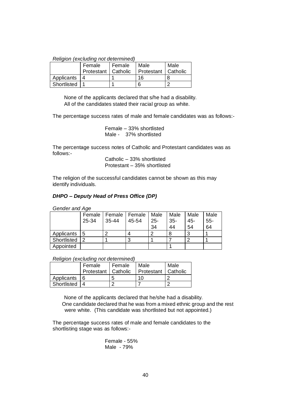#### *Religion (excluding not determined)*

|             | Female                | Female | Male                  | Male |
|-------------|-----------------------|--------|-----------------------|------|
|             | Protestant   Catholic |        | Protestant   Catholic |      |
| Applicants  |                       |        | 16                    |      |
| Shortlisted |                       |        | 6                     |      |

None of the applicants declared that s/he had a disability. All of the candidates stated their racial group as white.

The percentage success rates of male and female candidates was as follows:-

Female  $-33%$  shortlisted Male - 37% shortlisted

The percentage success notes of Catholic and Protestant candidates was as follows:-

Catholic  $-33%$  shortlisted Protestant - 35% shortlisted

The religion of the successful candidates cannot be shown as this may identify individuals.

### *DHPO ± Deputy Head of Press Office (DP)*

*Gender and Age*

|             |       |           | Female   Female   Female   Male |        | Male   | Male   | Male   |
|-------------|-------|-----------|---------------------------------|--------|--------|--------|--------|
|             | 25-34 | $35 - 44$ | 45-54                           | $25 -$ | $35 -$ | $45 -$ | $55 -$ |
|             |       |           |                                 | 34     | 44     | 54     | 64     |
| Applicants  | 15    |           |                                 | റ      | 8      | ົ      |        |
| Shortlisted | 2     |           |                                 |        |        |        |        |
| Appointed   |       |           |                                 |        |        |        |        |

|  | Religion (excluding not determined) |  |  |
|--|-------------------------------------|--|--|
|--|-------------------------------------|--|--|

|              | Female                | I Female | Male                  | Male |
|--------------|-----------------------|----------|-----------------------|------|
|              | Protestant   Catholic |          | Protestant   Catholic |      |
| Applicants 6 |                       | b        | 10                    |      |
| Shortlisted  |                       |          |                       |      |

None of the applicants declared that he/she had a disability. One candidate declared that he was from a mixed ethnic group and the rest were white. (This candidate was shortlisted but not appointed.)

The percentage success rates of male and female candidates to the shortlisting stage was as follows:-

> Female - 55% Male - 79%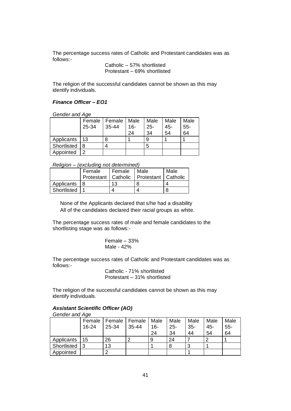The percentage success rates of Catholic and Protestant candidates was as follows:-

> Catholic - 57% shortlisted Protestant - 69% shortlisted

The religion of the successful candidates cannot be shown as this may identify individuals.

### *Finance Officer ± EO1*

*Gender and Age*

|                 |       | Female   Female | Male | Male   | Male | Male   |
|-----------------|-------|-----------------|------|--------|------|--------|
|                 | 25-34 | 35-44           | 16-  | $25 -$ | 45-  | $55 -$ |
|                 |       |                 | 24   | 34     | 54   | 64     |
| Applicants   13 |       | 8               |      | 9      |      |        |
| Shortlisted     | 8     |                 |      | 5      |      |        |
| Appointed       | າ     |                 |      |        |      |        |

*Religion ± (excluding not determined)*

|             | Female | Female | Male<br>Protestant   Catholic   Protestant   Catholic | Male |
|-------------|--------|--------|-------------------------------------------------------|------|
| Applicants  |        | 13     |                                                       |      |
| Shortlisted |        |        |                                                       |      |

None of the Applicants declared that s/he had a disability All of the candidates declared their racial groups as white.

The percentage success rates of male and female candidates to the shortlisting stage was as follows:-

> Female  $-33%$ Male - 42%

The percentage success rates of Catholic and Protestant candidates was as follows:-

Catholic - 71% shortlisted Protestant - 31% shortlisted

The religion of the successful candidates cannot be shown as this may identify individuals.

### *Assistant Scientific Officer (AO)*

*Gender and Age*

|             | Female  | Female | Female    | Male | Male   | Male  | Male   | Male   |
|-------------|---------|--------|-----------|------|--------|-------|--------|--------|
|             | $16-24$ | 25-34  | $35 - 44$ | 16-  | $25 -$ | $35-$ | $45 -$ | $55 -$ |
|             |         |        |           | 24   | 34     | 44    | 54     | 64     |
| Applicants  | 15      | 26     |           |      | 24     |       |        |        |
| Shortlisted | 3       | 13     |           |      |        | 3     |        |        |
| Appointed   |         | ⌒      |           |      |        |       |        |        |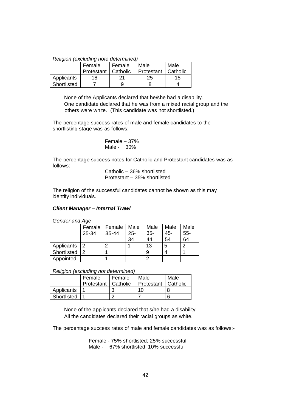|  | Religion (excluding note determined) |
|--|--------------------------------------|
|  |                                      |

|             | Female                | Female | Male                  | Male |
|-------------|-----------------------|--------|-----------------------|------|
|             | Protestant   Catholic |        | Protestant   Catholic |      |
| Applicants  | 18                    |        | 25                    | 15   |
| Shortlisted |                       |        |                       |      |

None of the Applicants declared that he/she had a disability. One candidate declared that he was from a mixed racial group and the others were white. (This candidate was not shortlisted.)

The percentage success rates of male and female candidates to the shortlisting stage was as follows:-

Female ± 37% Male - 30%

The percentage success notes for Catholic and Protestant candidates was as follows:-

> Catholic - 36% shortlisted Protestant - 35% shortlisted

The religion of the successful candidates cannot be shown as this may identify individuals.

### *Client Manager ± Internal Trawl*

*Gender and Age*

|             |       | Female   Female | Male   | Male   | Male   | Male   |
|-------------|-------|-----------------|--------|--------|--------|--------|
|             | 25-34 | $35 - 44$       | $25 -$ | $35 -$ | $45 -$ | $55 -$ |
|             |       |                 | 34     | 44     | 54     | 64     |
| Applicants  | 2     | ◠               |        | 13     | 5      | っ      |
| Shortlisted |       |                 |        |        |        |        |
| Appointed   |       |                 |        |        |        |        |

#### *Religion (excluding not determined)*

|                 | Female                | Female | Male                  | Male |
|-----------------|-----------------------|--------|-----------------------|------|
|                 | Protestant   Catholic |        | Protestant   Catholic |      |
| Applicants      |                       |        | 10                    |      |
| Shortlisted   1 |                       |        |                       | 6    |

None of the applicants declared that s/he had a disability. All the candidates declared their racial groups as white.

The percentage success rates of male and female candidates was as follows:-

Female - 75% shortlisted; 25% successful Male - 67% shortlisted; 10% successful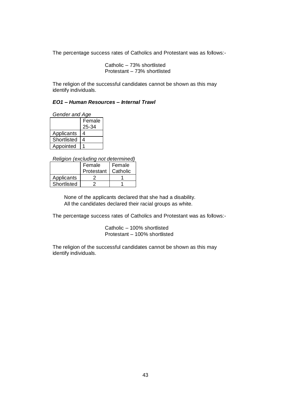The percentage success rates of Catholics and Protestant was as follows:-

Catholic  $-73%$  shortlisted Protestant  $-73%$  shortlisted

The religion of the successful candidates cannot be shown as this may identify individuals.

### *EO1 ± Human Resources ± Internal Trawl*

| Gender and Age |        |  |  |
|----------------|--------|--|--|
|                | Female |  |  |
|                | 25-34  |  |  |
| Applicants     | 4      |  |  |
| Shortlisted    | 4      |  |  |
| Appointed      |        |  |  |

*Religion (excluding not determined)*

|             | Female     | Female   |
|-------------|------------|----------|
|             | Protestant | Catholic |
| Applicants  |            |          |
| Shortlisted |            |          |

None of the applicants declared that she had a disability. All the candidates declared their racial groups as white.

The percentage success rates of Catholics and Protestant was as follows:-

Catholic - 100% shortlisted Protestant - 100% shortlisted

The religion of the successful candidates cannot be shown as this may identify individuals.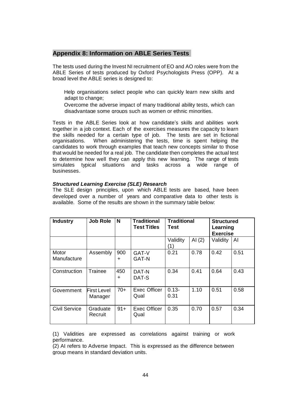### **Appendix 8: Information on ABLE Series Tests**

The tests used during the Invest NI recruitment of EO and AO roles were from the ABLE Series of tests produced by Oxford Psychologists Press (OPP). At a broad level the ABLE series is designed to:

Help organisations select people who can quickly learn new skills and adapt to change;

Overcome the adverse impact of many traditional ability tests, which can disadvantage some groups such as women or ethnic minorities.

Tests in the ABLE Series look at how candidate's skills and abilities work together in a job context. Each of the exercises measures the capacity to learn the skills needed for a certain type of job. The tests are set in fictional organisations. When administering the tests, time is spent helping the candidates to work through examples that teach new concepts similar to those that would be needed for a real job. The candidate then completes the actual test to determine how well they can apply this new learning. The range of tests simulates typical situations and tasks across a wide range of businesses.

### *Structured Learning Exercise (SLE) Research*

The SLE design principles, upon which ABLE tests are based, have been developed over a number of years and comparative data to other tests is available. Some of the results are shown in the summary table below:

| <b>Industry</b>      | <b>Job Role</b>               | N                | <b>Traditional</b><br><b>Test Titles</b> | <b>Traditional</b><br>Test |          | <b>Structured</b><br>Learning<br><b>Exercise</b> |      |
|----------------------|-------------------------------|------------------|------------------------------------------|----------------------------|----------|--------------------------------------------------|------|
|                      |                               |                  |                                          | Validity<br>(1)            | AI $(2)$ | Validity                                         | AI   |
| Motor<br>Manufacture | Assembly                      | 900<br>$\ddot{}$ | GAT-V<br><b>GAT-N</b>                    | 0.21                       | 0.78     | 0.42                                             | 0.51 |
| Construction         | Trainee                       | 450<br>÷         | DAT-N<br>DAT-S                           | 0.34                       | 0.41     | 0.64                                             | 0.43 |
| Government           | <b>First Level</b><br>Manager | $70+$            | <b>Exec Officer</b><br>Qual              | $0.13 -$<br>0.31           | 1.10     | 0.51                                             | 0.58 |
| <b>Civil Service</b> | Graduate<br>Recruit           | $91 +$           | <b>Exec Officer</b><br>Qual              | 0.35                       | 0.70     | 0.57                                             | 0.34 |

(1) Validities are expressed as correlations against training or work performance.

(2) AI refers to Adverse Impact. This is expressed as the difference between group means in standard deviation units.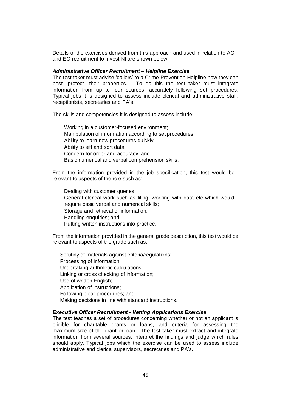Details of the exercises derived from this approach and used in relation to AO and EO recruitment to Invest NI are shown below.

#### *Administrative Officer Recruitment ± Helpline Exercise*

The test taker must advise 'callers' to a Crime Prevention Helpline how they can best protect their properties. To do this the test taker must integrate information from up to four sources, accurately following set procedures. Typical jobs it is designed to assess include clerical and administrative staff, receptionists, secretaries and PA's.

The skills and competencies it is designed to assess include:

Working in a customer-focused environment; Manipulation of information according to set procedures; Ability to learn new procedures quickly; Ability to sift and sort data; Concern for order and accuracy; and Basic numerical and verbal comprehension skills.

From the information provided in the job specification, this test would be relevant to aspects of the role such as:

Dealing with customer queries; General clerical work such as filing, working with data etc which would require basic verbal and numerical skills; Storage and retrieval of information; Handling enquiries; and Putting written instructions into practice.

From the information provided in the general grade description, this test would be relevant to aspects of the grade such as:

Scrutiny of materials against criteria/regulations; Processing of information; Undertaking arithmetic calculations; Linking or cross checking of information; Use of written English; Application of instructions; Following clear procedures; and Making decisions in line with standard instructions.

#### *Executive Officer Recruitment - Vetting Applications Exercise*

The test teaches a set of procedures concerning whether or not an applicant is eligible for charitable grants or loans, and criteria for assessing the maximum size of the grant or loan. The test taker must extract and integrate information from several sources, interpret the findings and judge which rules should apply. Typical jobs which the exercise can be used to assess include administrative and clerical supervisors, secretaries and PA's.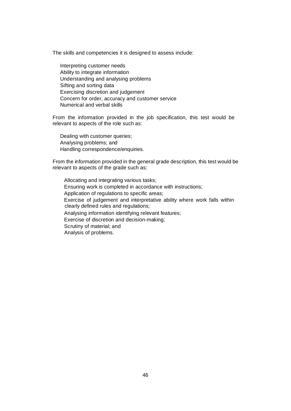The skills and competencies it is designed to assess include:

Interpreting customer needs Ability to integrate information Understanding and analysing problems Sifting and sorting data Exercising discretion and judgement Concern for order, accuracy and customer service Numerical and verbal skills

From the information provided in the job specification, this test would be relevant to aspects of the role such as:

Dealing with customer queries; Analysing problems; and Handling correspondence/enquiries.

From the information provided in the general grade description, this test would be relevant to aspects of the grade such as:

Allocating and integrating various tasks; Ensuring work is completed in accordance with instructions; Application of regulations to specific areas; Exercise of judgement and interpretative ability where work falls within clearly defined rules and regulations; Analysing information identifying relevant features; Exercise of discretion and decision-making; Scrutiny of material; and Analysis of problems.